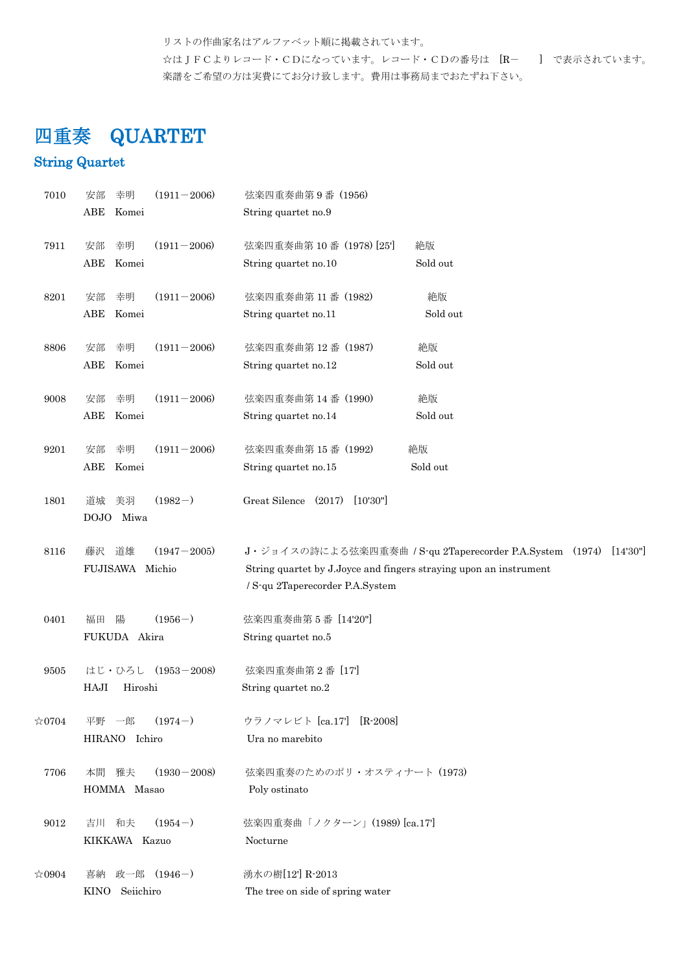リストの作曲家名はアルファベット順に掲載されています。 ☆はJFCよりレコード・CDになっています。レコード・CDの番号は [R- ] で表示されています。 楽譜をご希望の方は実費にてお分け致します。費用は事務局までおたずね下さい。

# 四重奏 QUARTET

## String Quartet

| 7010           | 幸明<br>$(1911 - 2006)$<br>安部<br>ABE<br>Komei                                    | 弦楽四重奏曲第9番 (1956)<br>String quartet no.9                                                                                                                                   |
|----------------|--------------------------------------------------------------------------------|---------------------------------------------------------------------------------------------------------------------------------------------------------------------------|
| 7911           | $(1911 - 2006)$<br>幸明<br>安部<br>ABE<br>Komei                                    | 弦楽四重奏曲第10番 (1978) [25]<br>絶版<br>Sold out<br>String quartet no.10                                                                                                          |
| 8201           | $(1911 - 2006)$<br>幸明<br>安部<br>ABE<br>Komei                                    | 絶版<br>弦楽四重奏曲第11番 (1982)<br>Sold out<br>String quartet no.11                                                                                                               |
| 8806           | $(1911 - 2006)$<br>幸明<br>安部<br>ABE<br>Komei                                    | 弦楽四重奏曲第12番 (1987)<br>絶版<br>Sold out<br>String quartet no.12                                                                                                               |
| 9008           | $(1911 - 2006)$<br>幸明<br>安部<br>ABE<br>Komei                                    | 絶版<br>弦楽四重奏曲第14番 (1990)<br>Sold out<br>String quartet no.14                                                                                                               |
| 9201           | $(1911 - 2006)$<br>幸明<br>安部<br>ABE<br>Komei                                    | 弦楽四重奏曲第15番 (1992)<br>絶版<br>Sold out<br>String quartet no.15                                                                                                               |
| 1801           | $(1982-)$<br>美羽<br>道城<br>DOJO<br>Miwa                                          | Great Silence (2017)<br>[10'30"]                                                                                                                                          |
| 8116           | $(1947 - 2005)$<br>道雄<br>藤沢<br>FUJISAWA Michio                                 | J・ジョイスの詩による弦楽四重奏曲 / S-qu 2Taperecorder P.A.System (1974) [14'30"]<br>String quartet by J.Joyce and fingers straying upon an instrument<br>/ S-qu 2Taperecorder P.A.System |
| 0401           | $(1956-)$<br>陽<br>福田<br>FUKUDA Akira                                           | 弦楽四重奏曲第5番 [14'20"]<br>String quartet no.5                                                                                                                                 |
| 9505           | はじ・ひろし (1953-2008)<br>HAJI<br>Hiroshi                                          | 弦楽四重奏曲第2番 [17]<br>String quartet no.2                                                                                                                                     |
| $\approx 0704$ | $(1974-)$<br>平野 一郎<br>HIRANO Ichiro                                            | ウラノマレビト [ca.17] [R-2008]<br>Ura no marebito                                                                                                                               |
| 7706           | 本間 雅夫<br>$(1930 - 2008)$<br>HOMMA Masao                                        | 弦楽四重奏のためのポリ・オスティナート (1973)<br>Poly ostinato                                                                                                                               |
| 9012           | $(1954-)$<br>弦楽四重奏曲「ノクターン」(1989) [ca.17]<br>吉川 和夫<br>KIKKAWA Kazuo<br>Nocturne |                                                                                                                                                                           |
| $\approx 0904$ | 政一郎 (1946-)<br>喜納<br>KINO Seiichiro                                            | 湧水の樹[12] R-2013<br>The tree on side of spring water                                                                                                                       |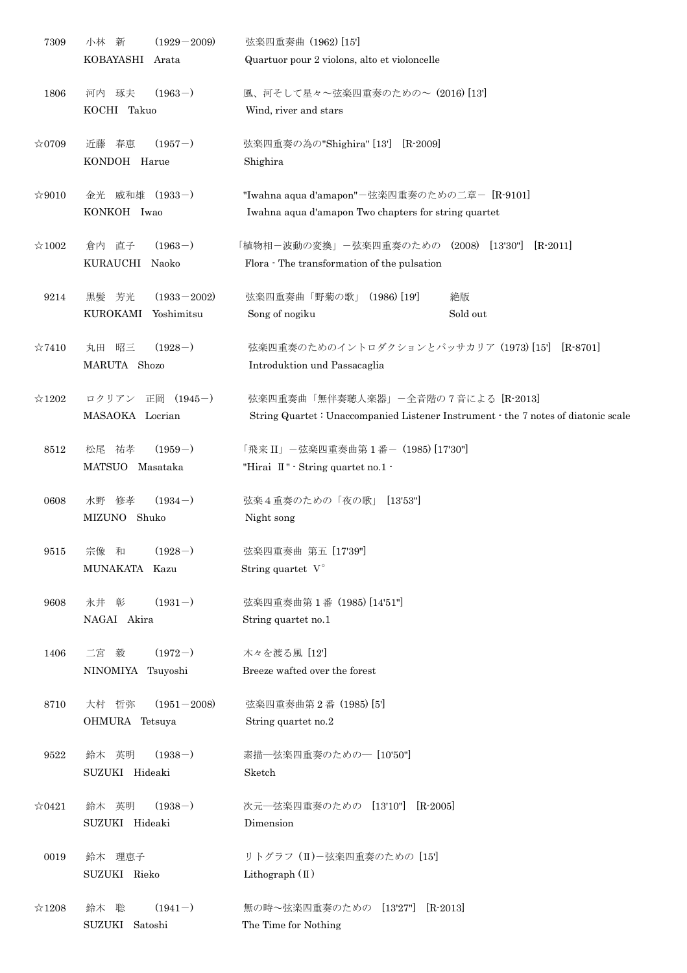| 7309           | 新<br>$(1929 - 2009)$<br>小林               | 弦楽四重奏曲 (1962) [15]                                                                |
|----------------|------------------------------------------|-----------------------------------------------------------------------------------|
|                | KOBAYASHI<br>Arata                       | Quartuor pour 2 violons, alto et violoncelle                                      |
| 1806           | $(1963-)$<br>琢夫<br>河内                    | 風、河そして星々~弦楽四重奏のための~ (2016) [13]                                                   |
|                | KOCHI Takuo                              | Wind, river and stars                                                             |
| $\approx 0709$ | $(1957-)$<br>春恵<br>近藤                    | 弦楽四重奏の為の"Shighira" [13']<br>$[R - 2009]$                                          |
|                | KONDOH Harue                             | Shighira                                                                          |
|                |                                          |                                                                                   |
| $\approx 9010$ | 金光 威和雄 (1933-)                           | "Iwahna aqua d'amapon"-弦楽四重奏のための二章- [R-9101]                                      |
|                | KONKOH Iwao                              | Iwahna aqua d'amapon Two chapters for string quartet                              |
|                |                                          |                                                                                   |
| $\approx 1002$ | $(1963-)$<br>直子<br>倉内                    | 「植物相-波動の変換」-弦楽四重奏のための (2008)<br>$[13'30"]$<br>$[R-2011]$                          |
|                | KURAUCHI<br>Naoko                        | Flora - The transformation of the pulsation                                       |
| 9214           | 芳光<br>$(1933 - 2002)$<br>黒髪              | $(1986)$ [19]<br>弦楽四重奏曲「野菊の歌」<br>絶版                                               |
|                | KUROKAMI<br>Yoshimitsu                   | Sold out<br>Song of nogiku                                                        |
|                |                                          |                                                                                   |
| $\approx 7410$ | 昭三<br>$(1928-)$<br>丸田                    | 弦楽四重奏のためのイントロダクションとパッサカリア (1973) [15]<br>$[R-8701]$                               |
|                | MARUTA Shozo                             | Introduktion und Passacaglia                                                      |
|                |                                          |                                                                                   |
| $\approx$ 1202 | ロクリアン 正岡 (1945-)                         | 弦楽四重奏曲「無伴奏聴人楽器」-全音階の7音による [R-2013]                                                |
|                | MASAOKA Locrian                          | String Quartet: Unaccompanied Listener Instrument · the 7 notes of diatonic scale |
|                |                                          |                                                                                   |
| 8512           | $(1959-)$<br>松尾<br>祐孝<br>MATSUO Masataka | 「飛来 II」 一弦楽四重奏曲第1番- (1985) [17'30"]                                               |
|                |                                          | "Hirai $\mathbb{I}$ " · String quartet no.1 ·                                     |
| 0608           | 水野 修孝<br>$(1934-)$                       | 弦楽4重奏のための「夜の歌」 [13'53"]                                                           |
|                | MIZUNO Shuko                             | Night song                                                                        |
|                |                                          |                                                                                   |
| 9515           | $(1928-)$<br>宗像 和                        | 弦楽四重奏曲 第五 [17'39"]                                                                |
|                | MUNAKATA Kazu                            | String quartet $V^{\circ}$                                                        |
|                |                                          |                                                                                   |
| 9608           | 永井 彰<br>$(1931-)$                        | 弦楽四重奏曲第1番 (1985) [14'51"]                                                         |
|                | NAGAI Akira                              | String quartet no.1                                                               |
| 1406           | $(1972-)$<br>二宮 毅                        | 木々を渡る風 [12]                                                                       |
|                | NINOMIYA Tsuyoshi                        | Breeze wafted over the forest                                                     |
|                |                                          |                                                                                   |
| 8710           | 大村 哲弥<br>$(1951 - 2008)$                 | 弦楽四重奏曲第2番 (1985) [5]                                                              |
|                | OHMURA Tetsuya                           | String quartet no.2                                                               |
|                |                                          |                                                                                   |
| 9522           | $(1938-)$<br>鈴木 英明                       | 素描–弦楽四重奏のための– [10'50"]                                                            |
|                | SUZUKI Hideaki                           | Sketch                                                                            |
| $\approx 0421$ | 鈴木 英明<br>$(1938-)$                       | 次元–弦楽四重奏のための [13'10"] [R-2005]                                                    |
|                | SUZUKI Hideaki                           | Dimension                                                                         |
|                |                                          |                                                                                   |
| 0019           | 鈴木 理恵子                                   | リトグラフ (II)-弦楽四重奏のための [15']                                                        |
|                | SUZUKI Rieko                             | Lithograph $(\mathbb{I})$                                                         |
|                |                                          |                                                                                   |
| $\approx$ 1208 | $(1941-)$<br>聡<br>鈴木                     | 無の時~弦楽四重奏のための [13'27"]<br>$[R - 2013]$                                            |
|                | SUZUKI Satoshi                           | The Time for Nothing                                                              |
|                |                                          |                                                                                   |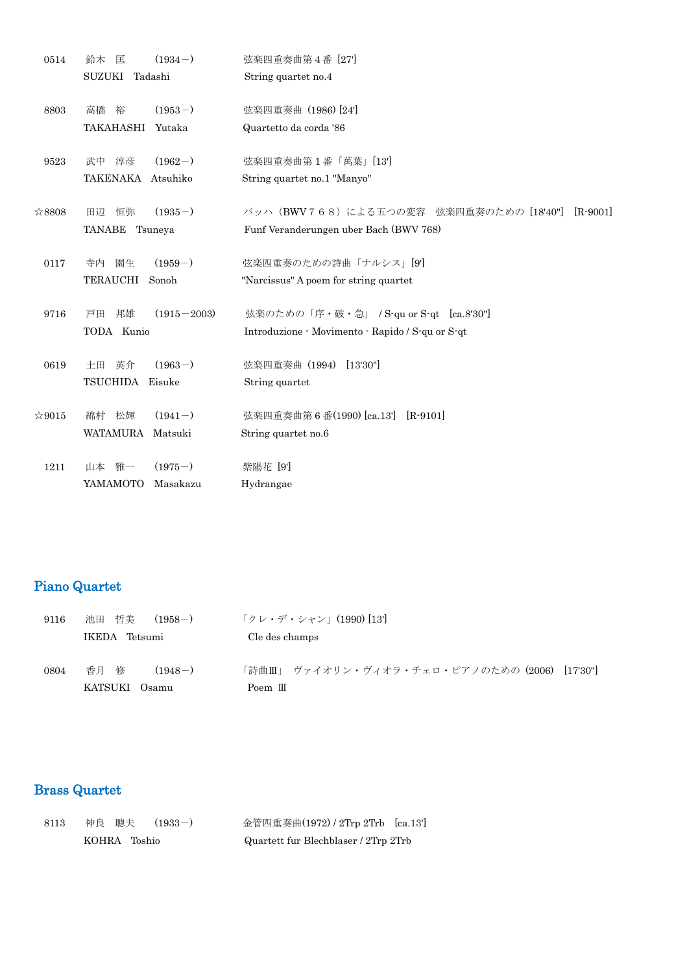| 0514           | $(1934-)$<br>鈴木<br>匡        | 弦楽四重奏曲第4番 [27]                                         |
|----------------|-----------------------------|--------------------------------------------------------|
|                | SUZUKI Tadashi              | String quartet no.4                                    |
| 8803           | $(1953-)$<br>高橋<br>裕        | 弦楽四重奏曲 (1986) [24]                                     |
|                | TAKAHASHI<br>Yutaka         | Quartetto da corda '86                                 |
| 9523           | $(1962-)$<br>武中<br>淳彦       | 弦楽四重奏曲第1番「萬葉」[13]                                      |
|                | TAKENAKA Atsuhiko           | String quartet no.1 "Manyo"                            |
| ☆8808          | $(1935-)$<br>恒弥<br>田辺       | バッハ (BWV768) による五つの変容 弦楽四重奏のための [18'40"]<br>$[R-9001]$ |
|                | TANABE Tsuneya              | Funf Veranderungen uber Bach (BWV 768)                 |
| 0117           | 園生<br>$(1959-)$<br>寺内       | 弦楽四重奏のための詩曲「ナルシス」[9]                                   |
|                | TERAUCHI<br>Sonoh           | "Narcissus" A poem for string quartet                  |
| 9716           | 邦雄<br>$(1915 - 2003)$<br>戸田 | 弦楽のための「序・破・急」 / S-qu or S-qt [ca.8'30"]                |
|                | TODA Kunio                  | Introduzione - Movimento - Rapido / S-qu or S-qt       |
| 0619           | $(1963-)$<br>英介<br>土田       | 弦楽四重奏曲 (1994)<br>[13'30"]                              |
|                | TSUCHIDA<br>Eisuke          | String quartet                                         |
| $\approx 9015$ | $(1941-)$<br>綿村 松輝          | 弦楽四重奏曲第6番(1990) [ca.13']<br>$[R-9101]$                 |
|                | <b>WATAMURA</b><br>Matsuki  | String quartet no.6                                    |
| 1211           | 山本 雅一<br>$(1975-)$          | 紫陽花 [9]                                                |
|                | Masakazu<br>YAMAMOTO        | Hydrangae                                              |

## Piano Quartet

| 9116 | 哲美<br>池田<br>$(1958-)$ | 「クレ・デ・シャン」(1990) [13']                        |
|------|-----------------------|-----------------------------------------------|
|      | IKEDA Tetsumi         | Cle des champs                                |
| 0804 | 香月<br>修<br>$(1948-)$  | 「詩曲Ⅲ」 ヴァイオリン・ヴィオラ・チェロ・ピアノのための(2006) [17'30'"] |
|      | KATSUKI<br>()samu     | Poem $\mathbb{II}$                            |

# Brass Quartet

| 8113 | 神良 聰夫 (1933-) | 金管四重奏曲(1972) / 2Trp 2Trb [ca.13']    |
|------|---------------|--------------------------------------|
|      | KOHRA Toshio  | Quartett fur Blechblaser / 2Trp 2Trb |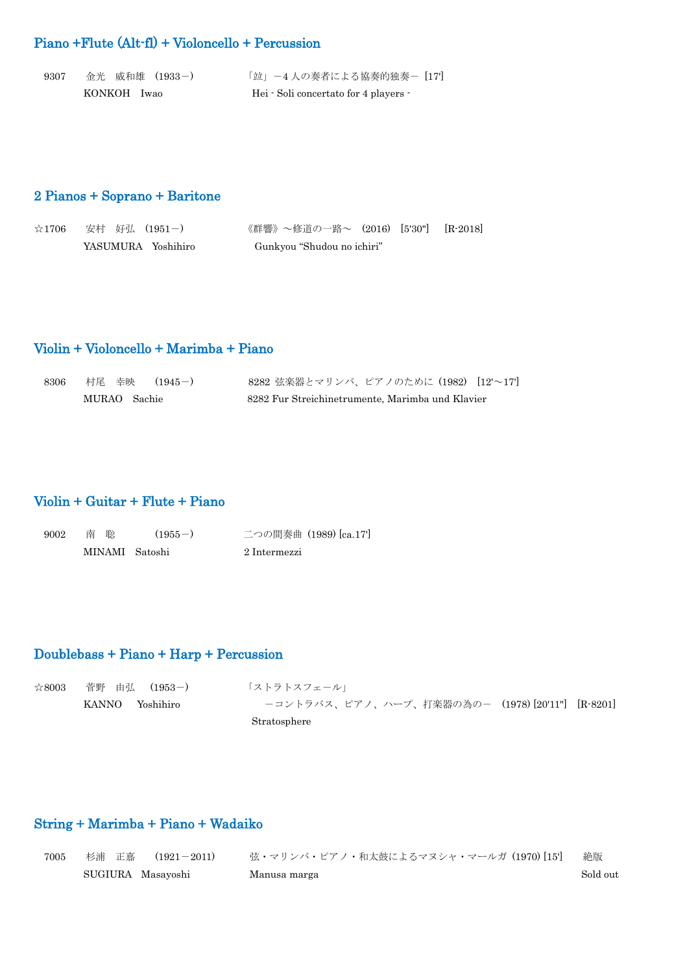### Piano +Flute (Alt-fl) + Violoncello + Percussion

| -9307 | 金光 威和雄 (1933-) | 「竝」-4人の奏者による協奏的独奏- [17]               |
|-------|----------------|---------------------------------------|
|       | KONKOH Iwao    | Hei · Soli concertato for 4 players · |

### 2 Pianos + Soprano + Baritone

| ☆1706   安村 好弘 (1951-) | 《群響》〜修道の一路〜 (2016) [5'30"] [R-2018] |  |
|-----------------------|-------------------------------------|--|
| YASUMURA Yoshihiro    | Gunkyou "Shudou no ichiri"          |  |

### Violin + Violoncello + Marimba + Piano

| 8306 | 村尾 幸映  (1945-) | 8282 弦楽器とマリンバ、ピアノのために (1982) [12'~17']           |  |
|------|----------------|--------------------------------------------------|--|
|      | MURAO Sachie   | 8282 Fur Streichinetrumente, Marimba und Klavier |  |

### Violin + Guitar + Flute + Piano

| 9002 | 南 聡            | $(1955-)$ | 二つの間奏曲 (1989) [ca.17] |
|------|----------------|-----------|-----------------------|
|      | MINAMI Satoshi |           | 2 Intermezzi          |

# Doublebass + Piano + Harp + Percussion

| $\approx 8003$ | 菅野 由弘 (1953-)   | 「ストラトスフェール」                                     |
|----------------|-----------------|-------------------------------------------------|
|                | KANNO Yoshihiro | ーコントラバス、ピアノ、ハープ、打楽器の為の- (1978)[20'11"] [R-8201] |
|                |                 | Stratosphere                                    |

# String + Marimba + Piano + Wadaiko

| 7005 | 杉浦 正嘉  (1921-2011) | 弦・マリンバ・ピアノ・和太鼓によるマヌシャ・マールガ(1970)[15] | 絶版       |
|------|--------------------|--------------------------------------|----------|
|      | SUGIURA Masayoshi  | Manusa marga                         | Sold out |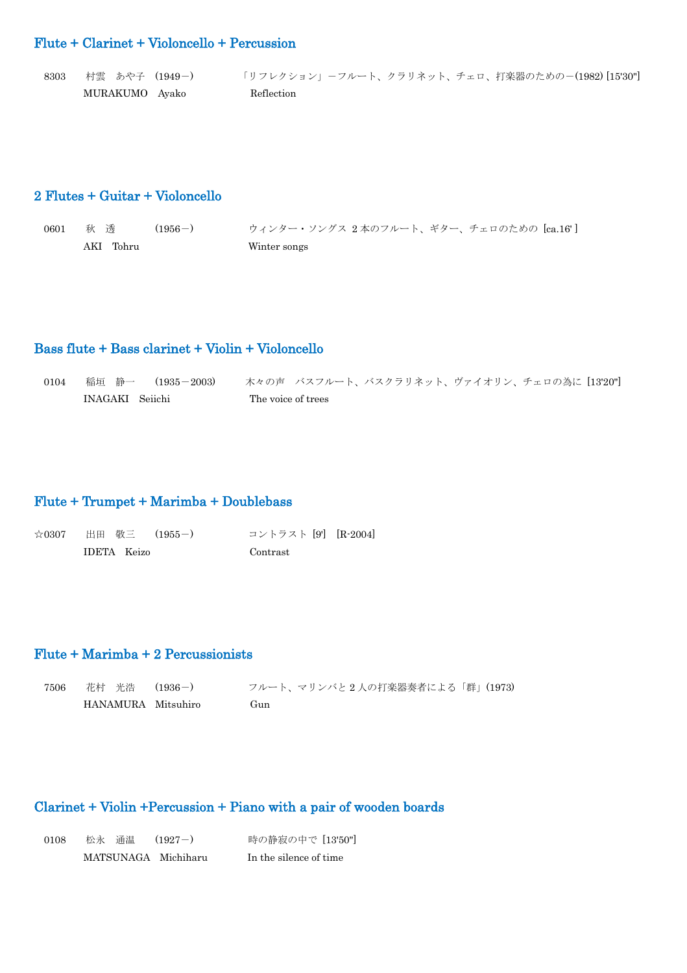#### Flute + Clarinet + Violoncello + Percussion

| 8303 | 村雲 あや子 (1949-) | 「リフレクション」ーフルート、クラリネット、チェロ、打楽器のための-(1982)[15'30"] |
|------|----------------|--------------------------------------------------|
|      | MURAKUMO Ayako | Reflection                                       |

#### 2 Flutes + Guitar + Violoncello

0601 秋 透 (1956-) ウィンター・ソングス 2本のフルート、ギター、チェロのための [ca.16'] AKI Tohru Winter songs

#### Bass flute + Bass clarinet + Violin + Violoncello

0104 稲垣 静一 (1935-2003) 木々の声 バスフルート、バスクラリネット、ヴァイオリン、チェロの為に [13'20"] INAGAKI Seiichi The voice of trees

#### Flute + Trumpet + Marimba + Doublebass

| ☆0307 出田 敬三 (1955-) | コントラスト [9] [R-2004] |  |
|---------------------|---------------------|--|
| IDETA Keizo         | Contrast            |  |

#### Flute + Marimba + 2 Percussionists

| 7506 | 花村 光浩 (1936-)      | フルート、マリンバと2人の打楽器奏者による「群」(1973) |
|------|--------------------|--------------------------------|
|      | HANAMURA Mitsuhiro | Gun                            |

#### Clarinet + Violin +Percussion + Piano with a pair of wooden boards

| 0108 | 松永 通温 (1927-)       | 時の静寂の中で [13'50"]       |
|------|---------------------|------------------------|
|      | MATSUNAGA Michiharu | In the silence of time |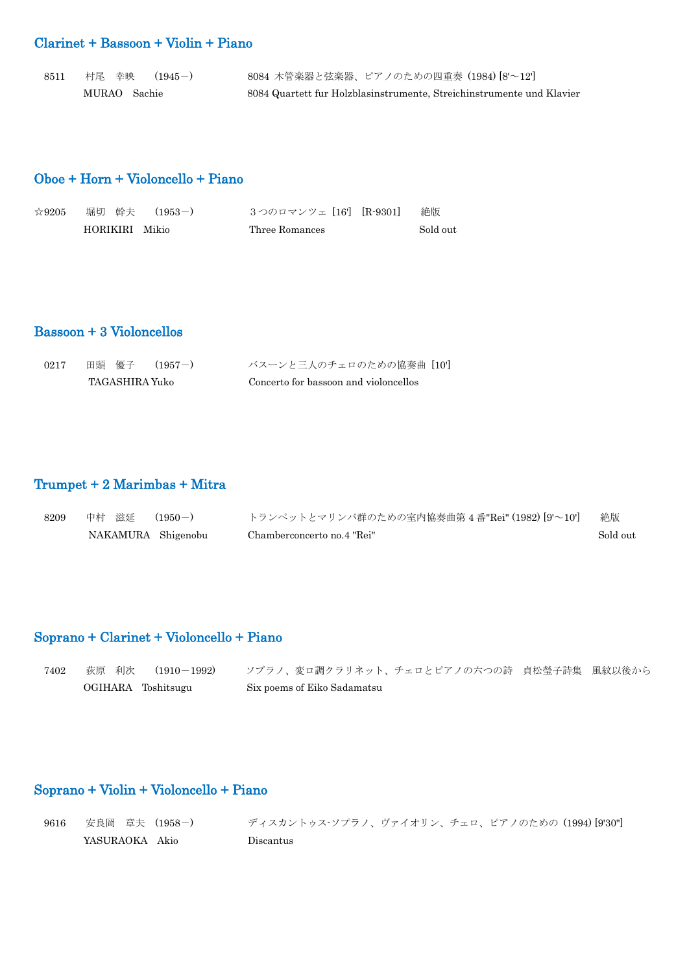## Clarinet + Bassoon + Violin + Piano

| 8511 | 村尾 幸映  (1945-) | 8084 木管楽器と弦楽器、ピアノのための四重奏 (1984)[8'~12']                               |
|------|----------------|-----------------------------------------------------------------------|
|      | MURAO Sachie   | 8084 Quartett fur Holzblasinstrumente, Streichinstrumente und Klavier |

### Oboe + Horn + Violoncello + Piano

| $\approx 9205$ |                | 堀切 幹夫  (1953-) | 3つのロマンツェ [16'] [R-9301] | 絶版       |
|----------------|----------------|----------------|-------------------------|----------|
|                | HORIKIRI Mikio |                | Three Romances          | Sold out |

# Bassoon + 3 Violoncellos

| $0217\,$ | 田頭 優子 (1957-)  | バスーンと三人のチェロのための協奏曲 [10]               |
|----------|----------------|---------------------------------------|
|          | TAGASHIRA Yuko | Concerto for bassoon and violoncellos |

# Trumpet + 2 Marimbas + Mitra

| 8209 | 中村 滋延              | $(1950 - )$ | トランペットとマリンバ群のための室内協奏曲第4番"Rei" (1982) [9'~10'] | 絶版       |
|------|--------------------|-------------|-----------------------------------------------|----------|
|      | NAKAMURA Shigenobu |             | Chamberconcerto no.4 "Rei"                    | Sold out |

### Soprano + Clarinet + Violoncello + Piano

| 7402 | 荻原 利次  (1910-1992) | - ソプラノ、変ロ調クラリネット、チェロとピアノの六つの詩 - 貞松瑩子詩集 - 風紋以後から |  |
|------|--------------------|-------------------------------------------------|--|
|      | OGIHARA Toshitsugu | Six poems of Eiko Sadamatsu                     |  |

### Soprano + Violin + Violoncello + Piano

| 9616 | 安良岡 章夫 (1958-) | ディスカントゥス・ソプラノ、ヴァイオリン、チェロ、ピアノのための (1994) [9'30"] |  |
|------|----------------|-------------------------------------------------|--|
|      | YASURAOKA Akio | Discantus                                       |  |